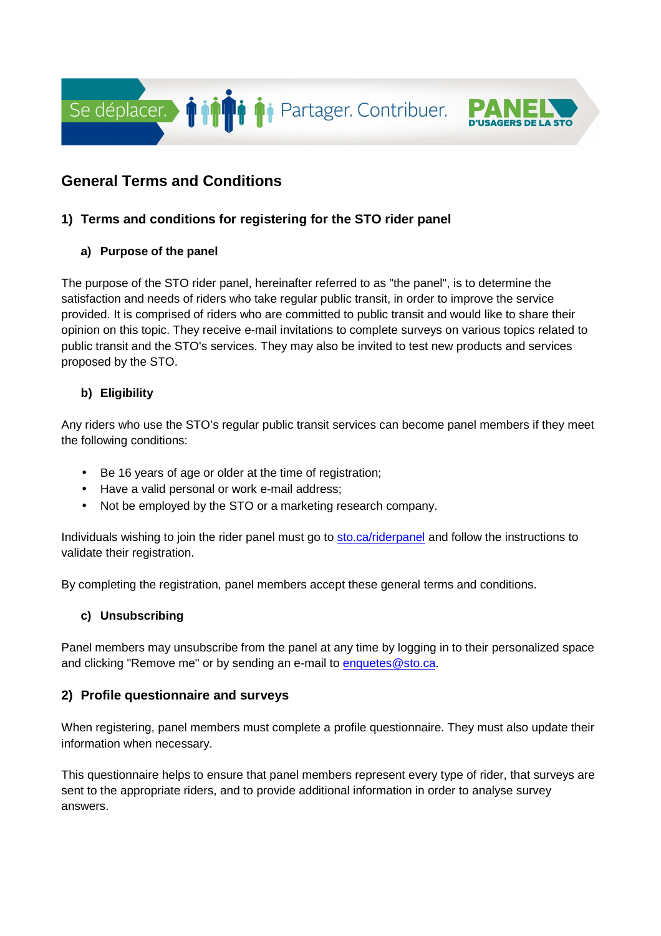

# **General Terms and Conditions**

# **1) Terms and conditions for registering for the STO rider panel**

## **a) Purpose of the panel**

The purpose of the STO rider panel, hereinafter referred to as "the panel", is to determine the satisfaction and needs of riders who take regular public transit, in order to improve the service provided. It is comprised of riders who are committed to public transit and would like to share their opinion on this topic. They receive e-mail invitations to complete surveys on various topics related to public transit and the STO's services. They may also be invited to test new products and services proposed by the STO.

## **b) Eligibility**

Any riders who use the STO's regular public transit services can become panel members if they meet the following conditions:

- Be 16 years of age or older at the time of registration;
- Have a valid personal or work e-mail address;
- Not be employed by the STO or a marketing research company.

Individuals wishing to join the rider panel must go to sto.ca/riderpanel and follow the instructions to validate their registration.

By completing the registration, panel members accept these general terms and conditions.

#### **c) Unsubscribing**

Panel members may unsubscribe from the panel at any time by logging in to their personalized space and clicking "Remove me" or by sending an e-mail to enquetes@sto.ca.

# **2) Profile questionnaire and surveys**

When registering, panel members must complete a profile questionnaire. They must also update their information when necessary.

This questionnaire helps to ensure that panel members represent every type of rider, that surveys are sent to the appropriate riders, and to provide additional information in order to analyse survey answers.